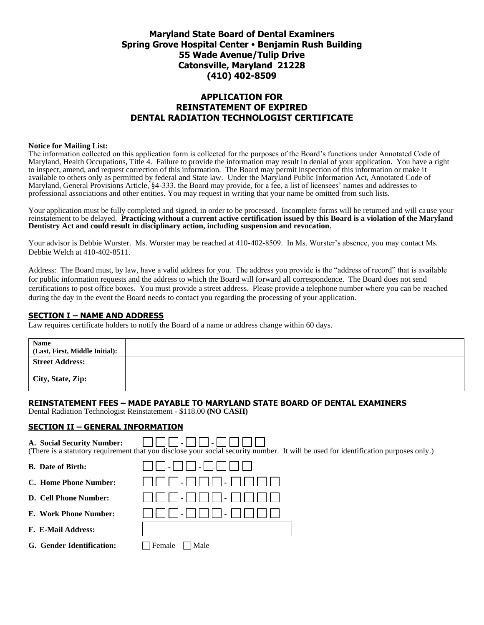### **Maryland State Board of Dental Examiners Spring Grove Hospital Center Benjamin Rush Building 55 Wade Avenue/Tulip Drive Catonsville, Maryland 21228 (410) 402-8509**

### **APPLICATION FOR REINSTATEMENT OF EXPIRED DENTAL RADIATION TECHNOLOGIST CERTIFICATE**

#### **Notice for Mailing List:**

The information collected on this application form is collected for the purposes of the Board's functions under Annotated Code of Maryland, Health Occupations, Title 4. Failure to provide the information may result in denial of your application. You have a right to inspect, amend, and request correction of this information. The Board may permit inspection of this information or make it available to others only as permitted by federal and State law. Under the Maryland Public Information Act, Annotated Code of Maryland, General Provisions Article, §4-333, the Board may provide, for a fee, a list of licensees' names and addresses to professional associations and other entities. You may request in writing that your name be omitted from such lists.

Your application must be fully completed and signed, in order to be processed. Incomplete forms will be returned and will cause your reinstatement to be delayed. **Practicing without a current active certification issued by this Board is a violation of the Maryland Dentistry Act and could result in disciplinary action, including suspension and revocation.**

Your advisor is Debbie Wurster. Ms. Wurster may be reached at 410-402-8509. In Ms. Wurster's absence, you may contact Ms. Debbie Welch at 410-402-8511.

Address: The Board must, by law, have a valid address for you. The address you provide is the "address of record" that is available for public information requests and the address to which the Board will forward all correspondence. The Board does not send certifications to post office boxes. You must provide a street address. Please provide a telephone number where you can be reached during the day in the event the Board needs to contact you regarding the processing of your application.

#### **SECTION I – NAME AND ADDRESS**

Law requires certificate holders to notify the Board of a name or address change within 60 days.

| <b>Name</b><br>(Last, First, Middle Initial): |  |
|-----------------------------------------------|--|
| <b>Street Address:</b>                        |  |
| City, State, Zip:                             |  |

### **REINSTATEMENT FEES – MADE PAYABLE TO MARYLAND STATE BOARD OF DENTAL EXAMINERS**

Dental Radiation Technologist Reinstatement - \$118.00 **(NO CASH)**

### **SECTION II – GENERAL INFORMATION**

| A. Social Security Number:<br>(There is a statutory requirement that you disclose your social security number. It will be used for identification purposes only.) |                |  |  |  |
|-------------------------------------------------------------------------------------------------------------------------------------------------------------------|----------------|--|--|--|
| <b>B.</b> Date of Birth:                                                                                                                                          |                |  |  |  |
| C. Home Phone Number:                                                                                                                                             |                |  |  |  |
| D. Cell Phone Number:                                                                                                                                             |                |  |  |  |
| E. Work Phone Number:                                                                                                                                             |                |  |  |  |
| F. E-Mail Address:                                                                                                                                                |                |  |  |  |
| G. Gender Identification:                                                                                                                                         | Male<br>Female |  |  |  |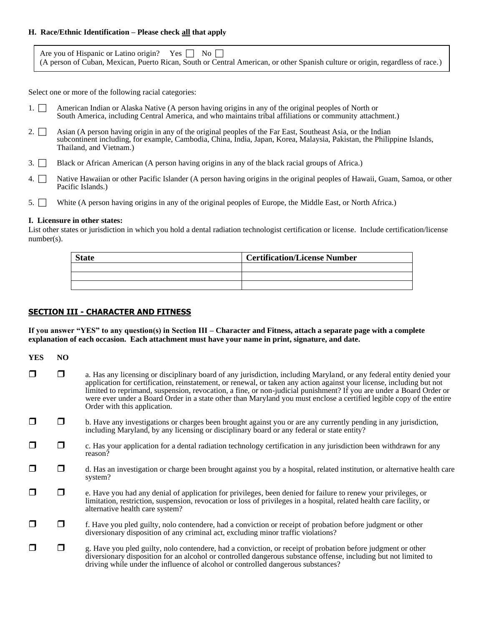#### **H. Race/Ethnic Identification – Please check all that apply**

| Are you of Hispanic or Latino origin? Yes $\Box$ No $\Box$                                                                     |
|--------------------------------------------------------------------------------------------------------------------------------|
| (A person of Cuban, Mexican, Puerto Rican, South or Central American, or other Spanish culture or origin, regardless of race.) |

Select one or more of the following racial categories:

- 1. <sup>2</sup> American Indian or Alaska Native (A person having origins in any of the original peoples of North or South America, including Central America, and who maintains tribal affiliations or community attachment.)
- 2.  $\Box$  Asian (A person having origin in any of the original peoples of the Far East, Southeast Asia, or the Indian subcontinent including, for example, Cambodia, China, India, Japan, Korea, Malaysia, Pakistan, the Philippine Islands, Thailand, and Vietnam.)
- 3. Black or African American (A person having origins in any of the black racial groups of Africa.)
- 4. Native Hawaiian or other Pacific Islander (A person having origins in the original peoples of Hawaii, Guam, Samoa, or other Pacific Islands.)
- 5. White (A person having origins in any of the original peoples of Europe, the Middle East, or North Africa.)

#### **I. Licensure in other states:**

List other states or jurisdiction in which you hold a dental radiation technologist certification or license. Include certification/license number(s).

| <b>State</b> | <b>Certification/License Number</b> |
|--------------|-------------------------------------|
|              |                                     |
|              |                                     |
|              |                                     |

### **SECTION III - CHARACTER AND FITNESS**

**If you answer "YES" to any question(s) in Section III – Character and Fitness, attach a separate page with a complete explanation of each occasion. Each attachment must have your name in print, signature, and date.**

| <b>YES</b> | NO.    |                                                                                                                                                                                                                                                                                                                                                                                                                                                                                                                               |  |
|------------|--------|-------------------------------------------------------------------------------------------------------------------------------------------------------------------------------------------------------------------------------------------------------------------------------------------------------------------------------------------------------------------------------------------------------------------------------------------------------------------------------------------------------------------------------|--|
|            | $\Box$ | a. Has any licensing or disciplinary board of any jurisdiction, including Maryland, or any federal entity denied your<br>application for certification, reinstatement, or renewal, or taken any action against your license, including but not<br>limited to reprimand, suspension, revocation, a fine, or non-judicial punishment? If you are under a Board Order or<br>were ever under a Board Order in a state other than Maryland you must enclose a certified legible copy of the entire<br>Order with this application. |  |
|            | l I    | b. Have any investigations or charges been brought against you or are any currently pending in any jurisdiction,<br>including Maryland, by any licensing or disciplinary board or any federal or state entity?                                                                                                                                                                                                                                                                                                                |  |
|            | $\Box$ | c. Has your application for a dental radiation technology certification in any jurisdiction been withdrawn for any<br>reason?                                                                                                                                                                                                                                                                                                                                                                                                 |  |
|            | ⊓      | d. Has an investigation or charge been brought against you by a hospital, related institution, or alternative health care<br>system?                                                                                                                                                                                                                                                                                                                                                                                          |  |
|            | $\Box$ | e. Have you had any denial of application for privileges, been denied for failure to renew your privileges, or<br>limitation, restriction, suspension, revocation or loss of privileges in a hospital, related health care facility, or<br>alternative health care system?                                                                                                                                                                                                                                                    |  |
|            | ப      | f. Have you pled guilty, nolo contendere, had a conviction or receipt of probation before judgment or other<br>diversionary disposition of any criminal act, excluding minor traffic violations?                                                                                                                                                                                                                                                                                                                              |  |
|            | $\Box$ | g. Have you pled guilty, nolo contendere, had a conviction, or receipt of probation before judgment or other<br>diversionary disposition for an alcohol or controlled dangerous substance offense, including but not limited to<br>driving while under the influence of alcohol or controlled dangerous substances?                                                                                                                                                                                                           |  |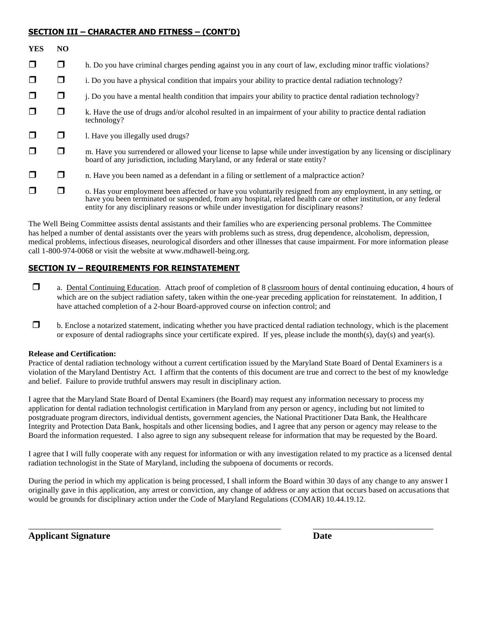### **SECTION III – CHARACTER AND FITNESS – (CONT'D)**

| <b>YES</b> | NO     |                                                                                                                                                                                                                                                                                                                                   |  |
|------------|--------|-----------------------------------------------------------------------------------------------------------------------------------------------------------------------------------------------------------------------------------------------------------------------------------------------------------------------------------|--|
| $\Box$     | ◻      | h. Do you have criminal charges pending against you in any court of law, excluding minor traffic violations?                                                                                                                                                                                                                      |  |
| $\Box$     | ◻      | i. Do you have a physical condition that impairs your ability to practice dental radiation technology?                                                                                                                                                                                                                            |  |
| $\Box$     | $\Box$ | j. Do you have a mental health condition that impairs your ability to practice dental radiation technology?                                                                                                                                                                                                                       |  |
| $\Box$     | $\Box$ | k. Have the use of drugs and/or alcohol resulted in an impairment of your ability to practice dental radiation<br>technology?                                                                                                                                                                                                     |  |
| $\Box$     | $\Box$ | 1. Have you illegally used drugs?                                                                                                                                                                                                                                                                                                 |  |
| $\Box$     | $\Box$ | m. Have you surrendered or allowed your license to lapse while under investigation by any licensing or disciplinary<br>board of any jurisdiction, including Maryland, or any federal or state entity?                                                                                                                             |  |
| $\Box$     | □      | n. Have you been named as a defendant in a filing or settlement of a malpractice action?                                                                                                                                                                                                                                          |  |
| $\Box$     | □      | o. Has your employment been affected or have you voluntarily resigned from any employment, in any setting, or<br>have you been terminated or suspended, from any hospital, related health care or other institution, or any federal<br>entity for any disciplinary reasons or while under investigation for disciplinary reasons? |  |

The Well Being Committee assists dental assistants and their families who are experiencing personal problems. The Committee has helped a number of dental assistants over the years with problems such as stress, drug dependence, alcoholism, depression, medical problems, infectious diseases, neurological disorders and other illnesses that cause impairment. For more information please call 1-800-974-0068 or visit the website at www.mdhawell-being.org.

### **SECTION IV – REQUIREMENTS FOR REINSTATEMENT**

- a. Dental Continuing Education. Attach proof of completion of 8 classroom hours of dental continuing education, 4 hours of which are on the subject radiation safety, taken within the one-year preceding application for reinstatement. In addition, I have attached completion of a 2-hour Board-approved course on infection control; and
- $\Box$  b. Enclose a notarized statement, indicating whether you have practiced dental radiation technology, which is the placement or exposure of dental radiographs since your certificate expired. If yes, please include the month(s), day(s) and year(s).

### **Release and Certification:**

Practice of dental radiation technology without a current certification issued by the Maryland State Board of Dental Examiners is a violation of the Maryland Dentistry Act. I affirm that the contents of this document are true and correct to the best of my knowledge and belief. Failure to provide truthful answers may result in disciplinary action.

I agree that the Maryland State Board of Dental Examiners (the Board) may request any information necessary to process my application for dental radiation technologist certification in Maryland from any person or agency, including but not limited to postgraduate program directors, individual dentists, government agencies, the National Practitioner Data Bank, the Healthcare Integrity and Protection Data Bank, hospitals and other licensing bodies, and I agree that any person or agency may release to the Board the information requested. I also agree to sign any subsequent release for information that may be requested by the Board.

I agree that I will fully cooperate with any request for information or with any investigation related to my practice as a licensed dental radiation technologist in the State of Maryland, including the subpoena of documents or records.

During the period in which my application is being processed, I shall inform the Board within 30 days of any change to any answer I originally gave in this application, any arrest or conviction, any change of address or any action that occurs based on accusations that would be grounds for disciplinary action under the Code of Maryland Regulations (COMAR) 10.44.19.12.

 $\_$  ,  $\_$  ,  $\_$  ,  $\_$  ,  $\_$  ,  $\_$  ,  $\_$  ,  $\_$  ,  $\_$  ,  $\_$  ,  $\_$  ,  $\_$  ,  $\_$  ,  $\_$  ,  $\_$  ,  $\_$  ,  $\_$  ,  $\_$  ,  $\_$  ,  $\_$  ,  $\_$  ,  $\_$  ,  $\_$  ,  $\_$  ,  $\_$  ,  $\_$  ,  $\_$  ,  $\_$  ,  $\_$  ,  $\_$  ,  $\_$  ,  $\_$  ,  $\_$  ,  $\_$  ,  $\_$  ,  $\_$  ,  $\_$  ,

**Applicant Signature Date**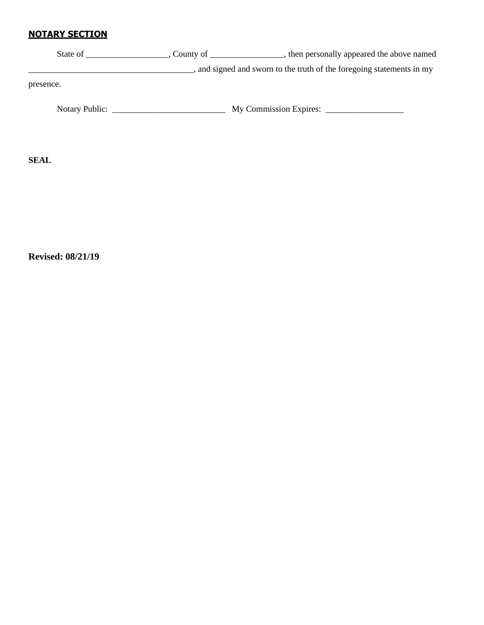# **NOTARY SECTION**

| State of       | , County of $\_\_$ | then personally appeared the above named                            |
|----------------|--------------------|---------------------------------------------------------------------|
|                |                    | and signed and sworn to the truth of the foregoing statements in my |
| presence.      |                    |                                                                     |
| Notary Public: |                    | My Commission Expires:                                              |

**SEAL**

**Revised: 08/21/19**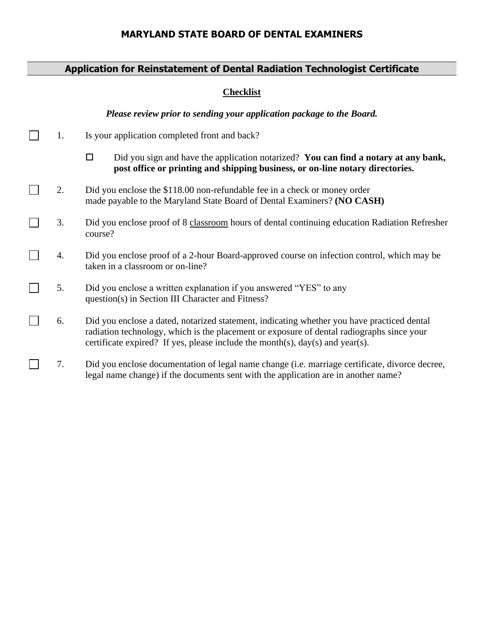## **MARYLAND STATE BOARD OF DENTAL EXAMINERS**

# **Application for Reinstatement of Dental Radiation Technologist Certificate**

### **Checklist**

*Please review prior to sending your application package to the Board.*

- $\Box$ 1. Is your application completed front and back?
	- Did you sign and have the application notarized? **You can find a notary at any bank, post office or printing and shipping business, or on-line notary directories.**
- $\Box$ 2. Did you enclose the \$118.00 non-refundable fee in a check or money order made payable to the Maryland State Board of Dental Examiners? **(NO CASH)**
- $\Box$ 3. Did you enclose proof of 8 classroom hours of dental continuing education Radiation Refresher course?
- $\Box$ 4. Did you enclose proof of a 2-hour Board-approved course on infection control, which may be taken in a classroom or on-line?
- $\Box$ 5. Did you enclose a written explanation if you answered "YES" to any question(s) in Section III Character and Fitness?
- П 6. Did you enclose a dated, notarized statement, indicating whether you have practiced dental radiation technology, which is the placement or exposure of dental radiographs since your certificate expired? If yes, please include the month(s), day(s) and year(s).
- $\Box$ 7. Did you enclose documentation of legal name change (i.e. marriage certificate, divorce decree, legal name change) if the documents sent with the application are in another name?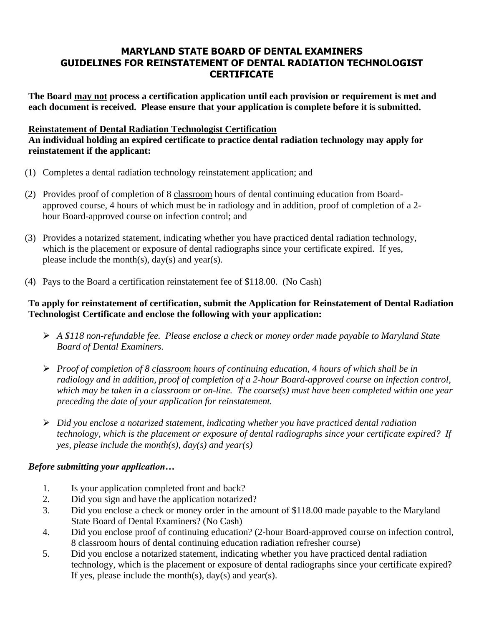## **MARYLAND STATE BOARD OF DENTAL EXAMINERS GUIDELINES FOR REINSTATEMENT OF DENTAL RADIATION TECHNOLOGIST CERTIFICATE**

**The Board may not process a certification application until each provision or requirement is met and each document is received. Please ensure that your application is complete before it is submitted.** 

## **Reinstatement of Dental Radiation Technologist Certification**

**An individual holding an expired certificate to practice dental radiation technology may apply for reinstatement if the applicant:**

- (1) Completes a dental radiation technology reinstatement application; and
- (2) Provides proof of completion of 8 classroom hours of dental continuing education from Boardapproved course, 4 hours of which must be in radiology and in addition, proof of completion of a 2 hour Board-approved course on infection control; and
- (3) Provides a notarized statement, indicating whether you have practiced dental radiation technology, which is the placement or exposure of dental radiographs since your certificate expired. If yes, please include the month(s),  $day(s)$  and year(s).
- (4) Pays to the Board a certification reinstatement fee of \$118.00. (No Cash)

## **To apply for reinstatement of certification, submit the Application for Reinstatement of Dental Radiation Technologist Certificate and enclose the following with your application:**

- ➢ *A \$118 non-refundable fee. Please enclose a check or money order made payable to Maryland State Board of Dental Examiners.*
- ➢ *Proof of completion of 8 classroom hours of continuing education, 4 hours of which shall be in radiology and in addition, proof of completion of a 2-hour Board-approved course on infection control, which may be taken in a classroom or on-line. The course(s) must have been completed within one year preceding the date of your application for reinstatement.*
- ➢ *Did you enclose a notarized statement, indicating whether you have practiced dental radiation technology, which is the placement or exposure of dental radiographs since your certificate expired? If yes, please include the month(s), day(s) and year(s)*

# *Before submitting your application…*

- 1. Is your application completed front and back?
- 2. Did you sign and have the application notarized?
- 3. Did you enclose a check or money order in the amount of \$118.00 made payable to the Maryland State Board of Dental Examiners? (No Cash)
- 4. Did you enclose proof of continuing education? (2-hour Board-approved course on infection control, 8 classroom hours of dental continuing education radiation refresher course)
- 5. Did you enclose a notarized statement, indicating whether you have practiced dental radiation technology, which is the placement or exposure of dental radiographs since your certificate expired? If yes, please include the month(s),  $day(s)$  and year(s).